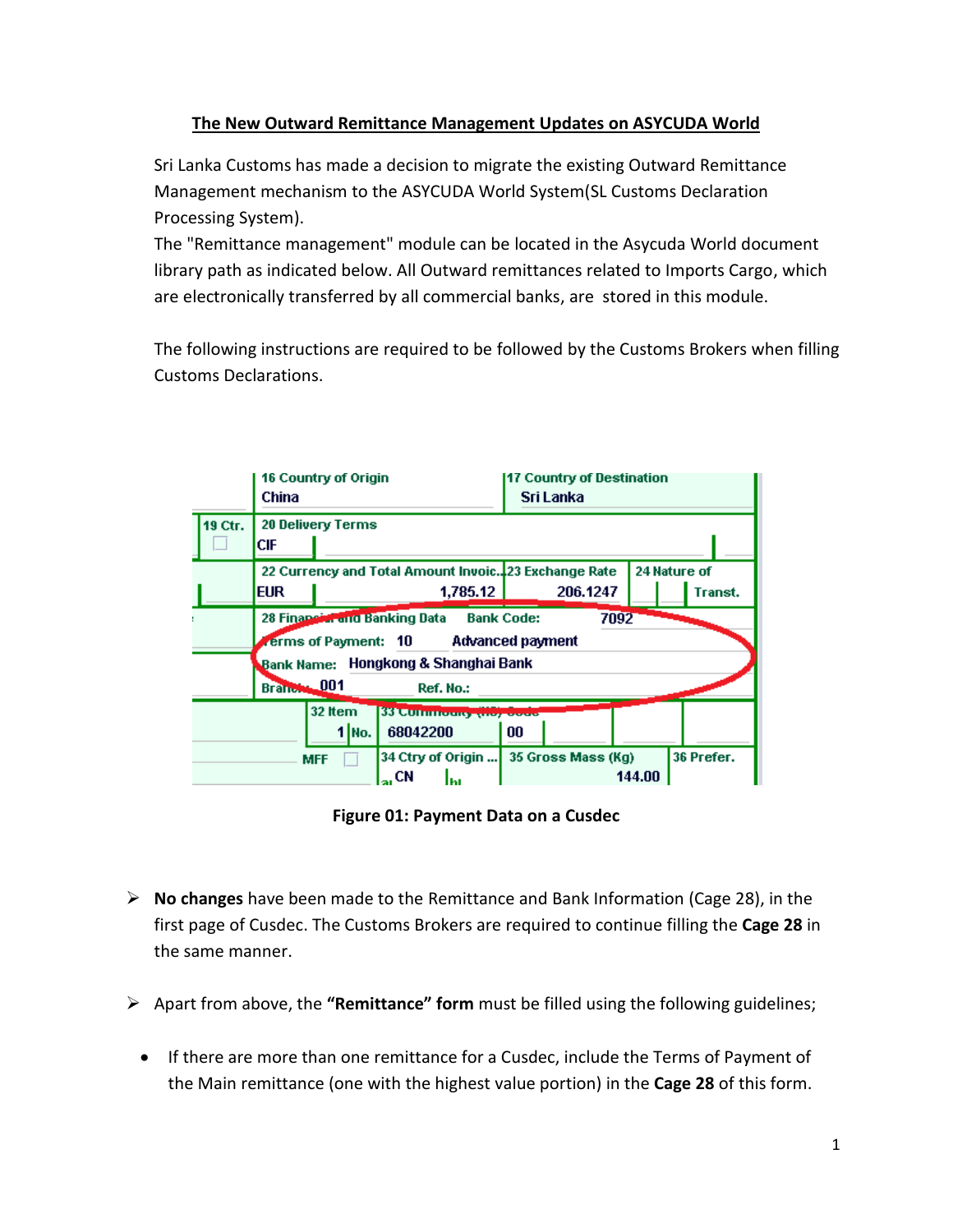## **The New Outward Remittance Management Updates on ASYCUDA World**

Sri Lanka Customs has made a decision to migrate the existing Outward Remittance Management mechanism to the ASYCUDA World System(SL Customs Declaration Processing System).

The "Remittance management" module can be located in the Asycuda World document library path as indicated below. All Outward remittances related to Imports Cargo, which are electronically transferred by all commercial banks, are stored in this module.

The following instructions are required to be followed by the Customs Brokers when filling Customs Declarations.

|         | 16 Country of Origin<br>China   |                                                                                                                        |          |                                                         |    | <b>17 Country of Destination</b><br>Sri Lanka |        |            |  |  |  |
|---------|---------------------------------|------------------------------------------------------------------------------------------------------------------------|----------|---------------------------------------------------------|----|-----------------------------------------------|--------|------------|--|--|--|
| 19 Ctr. | <b>20 Delivery Terms</b><br>СIЕ |                                                                                                                        |          |                                                         |    |                                               |        |            |  |  |  |
|         | <b>EUR</b>                      | 22 Currency and Total Amount Invoic. 23 Exchange Rate<br>24 Nature of<br>1,785.12<br>206.1247                          |          |                                                         |    |                                               |        |            |  |  |  |
|         |                                 | 28 Financial and Banking Data<br><b>Bank Code:</b><br>7092<br><b>Advanced payment</b><br><b>verms of Payment:   10</b> |          |                                                         |    |                                               |        |            |  |  |  |
|         | Branch, 001                     |                                                                                                                        |          | Bank Name: Hongkong & Shanghai Bank<br>Ref. No.:        |    |                                               |        |            |  |  |  |
|         |                                 | 32 Item                                                                                                                | $1 $ No. | <b>SSLCUTHINGUIST WAS ASSESSED</b><br>68042200          | 00 |                                               |        |            |  |  |  |
|         |                                 | <b>MFF</b>                                                                                                             |          | 34 Ctry of Origin<br>$\mathbf{t}_{\text{in}}$ CN<br>lhı |    | 35 Gross Mass (Kg)                            | 144.00 | 36 Prefer. |  |  |  |

**Figure 01: Payment Data on a Cusdec**

- **No changes** have been made to the Remittance and Bank Information (Cage 28), in the first page of Cusdec. The Customs Brokers are required to continue filling the **Cage 28** in the same manner.
- Apart from above, the **"Remittance" form** must be filled using the following guidelines;
	- If there are more than one remittance for a Cusdec, include the Terms of Payment of the Main remittance (one with the highest value portion) in the **Cage 28** of this form.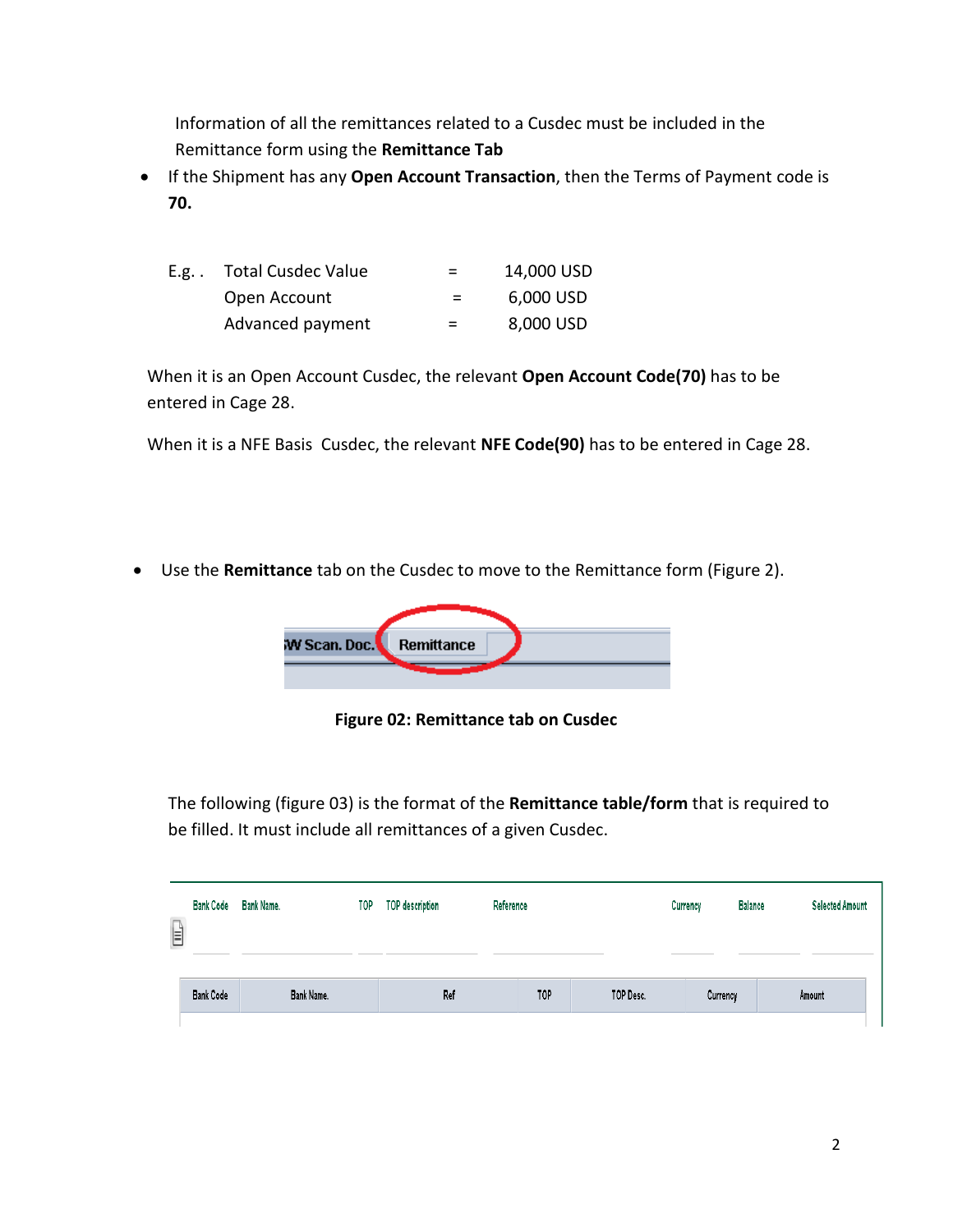Information of all the remittances related to a Cusdec must be included in the Remittance form using the **Remittance Tab**

 If the Shipment has any **Open Account Transaction**, then the Terms of Payment code is **70.** 

| E.g. . | Total Cusdec Value | $=$      | 14,000 USD |
|--------|--------------------|----------|------------|
|        | Open Account       | <b>=</b> | 6,000 USD  |
|        | Advanced payment   | and the  | 8,000 USD  |

When it is an Open Account Cusdec, the relevant **Open Account Code(70)** has to be entered in Cage 28.

When it is a NFE Basis Cusdec, the relevant **NFE Code(90)** has to be entered in Cage 28.

Use the **Remittance** tab on the Cusdec to move to the Remittance form (Figure 2).



**Figure 02: Remittance tab on Cusdec**

The following (figure 03) is the format of the **Remittance table/form** that is required to be filled. It must include all remittances of a given Cusdec.

| $\mathbb{E}$ | <b>Bank Code</b> | Bank Name. | TOP | TOP description | Reference |           |  | Currency | <b>Selected Amount</b><br><b>Balance</b> |
|--------------|------------------|------------|-----|-----------------|-----------|-----------|--|----------|------------------------------------------|
|              | <b>Bank Code</b> | Bank Name. |     | Ref             | TOP       | TOP Desc. |  | Currency | Amount                                   |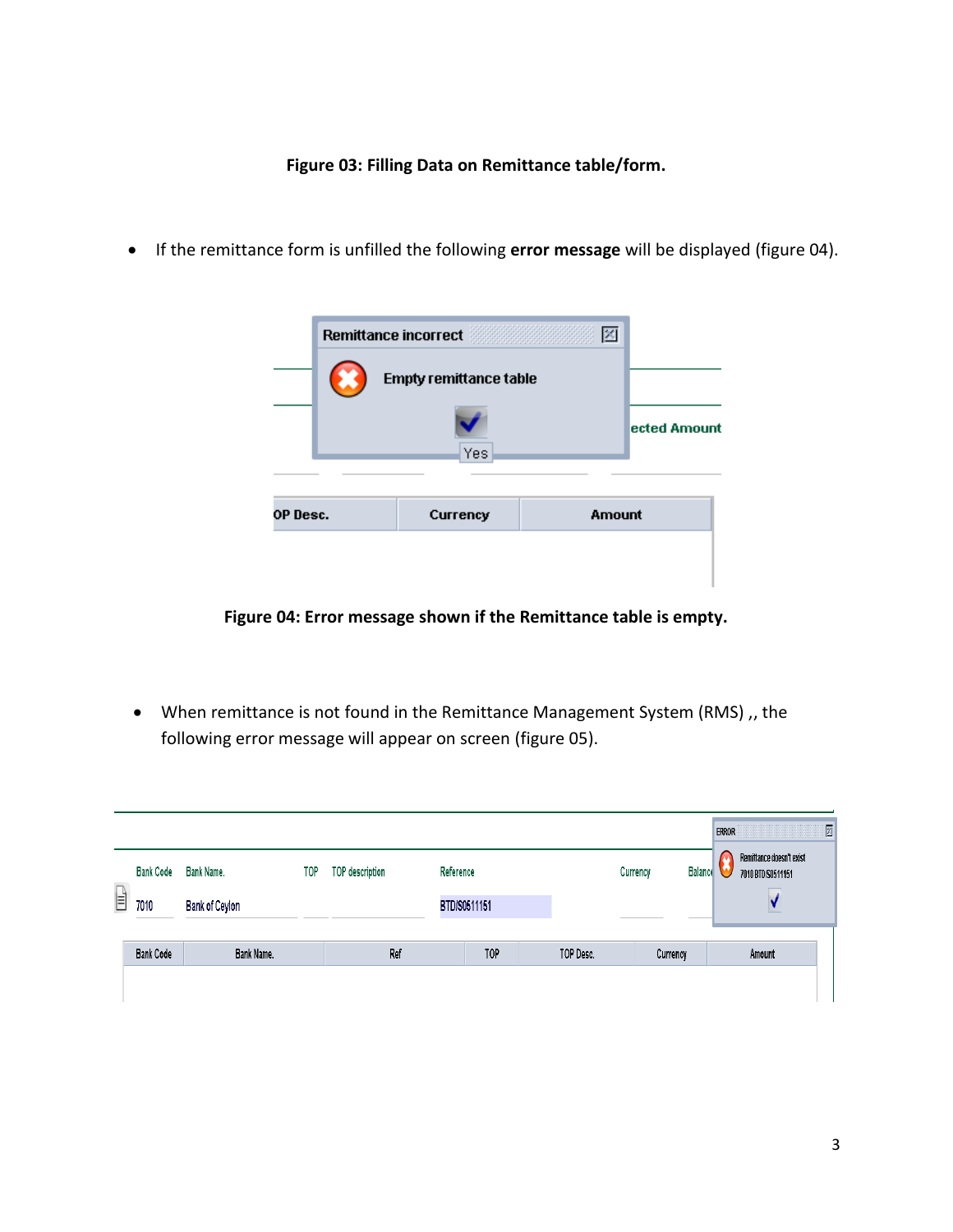**Figure 03: Filling Data on Remittance table/form.**

If the remittance form is unfilled the following **error message** will be displayed (figure 04).



**Figure 04: Error message shown if the Remittance table is empty.**

 When remittance is not found in the Remittance Management System (RMS) ,, the following error message will appear on screen (figure 05).

| $\begin{tabular}{ c c } \hline \quad \quad & \quad \quad & \quad \quad \\ \hline \quad \quad & \quad \quad & \quad \quad \\ \hline \end{tabular}$ | <b>Bank Code</b><br>7010              | Bank Name.<br>Bank of Ceylon | TOP | <b>TOP description</b> | Reference<br>BTD/S0511151 |          | <b>Balance</b><br>Currency | Remittance doesn't exist<br>7010 BTD/S0511151 |
|---------------------------------------------------------------------------------------------------------------------------------------------------|---------------------------------------|------------------------------|-----|------------------------|---------------------------|----------|----------------------------|-----------------------------------------------|
|                                                                                                                                                   | <b>Bank Code</b><br>Bank Name.<br>Ref |                              |     | TOP                    | TOP Desc.                 | Currency | Amount                     |                                               |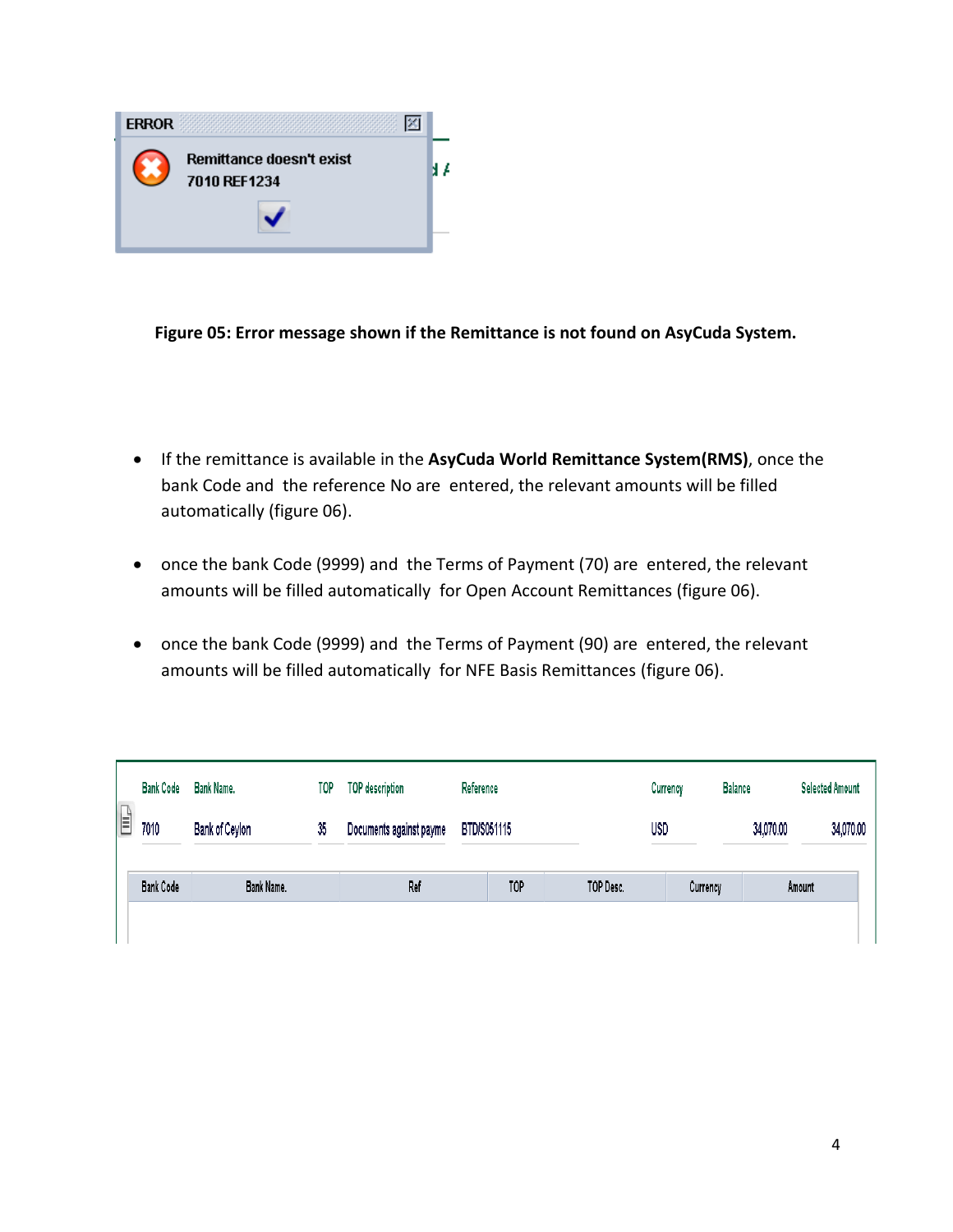

**Figure 05: Error message shown if the Remittance is not found on AsyCuda System.**

- If the remittance is available in the **AsyCuda World Remittance System(RMS)**, once the bank Code and the reference No are entered, the relevant amounts will be filled automatically (figure 06).
- once the bank Code (9999) and the Terms of Payment (70) are entered, the relevant amounts will be filled automatically for Open Account Remittances (figure 06).
- once the bank Code (9999) and the Terms of Payment (90) are entered, the relevant amounts will be filled automatically for NFE Basis Remittances (figure 06).

|   | <b>Bank Code</b> | Bank Name.           | <b>TOP</b> | <b>TOP</b> description                 | Reference |           |            | Currency | <b>Balance</b> |  | <b>Selected Amount</b> |  |
|---|------------------|----------------------|------------|----------------------------------------|-----------|-----------|------------|----------|----------------|--|------------------------|--|
| Ê | 7010             | Bank of Ceylon<br>35 |            | BTD/S051115<br>Documents against payme |           |           | <b>USD</b> |          | 34,070.00      |  | 34,070.00              |  |
|   | <b>Bank Code</b> | Bank Name.           |            | TOP<br>Ref                             |           | TOP Desc. | Currency   |          | Amount         |  |                        |  |
|   |                  |                      |            |                                        |           |           |            |          |                |  |                        |  |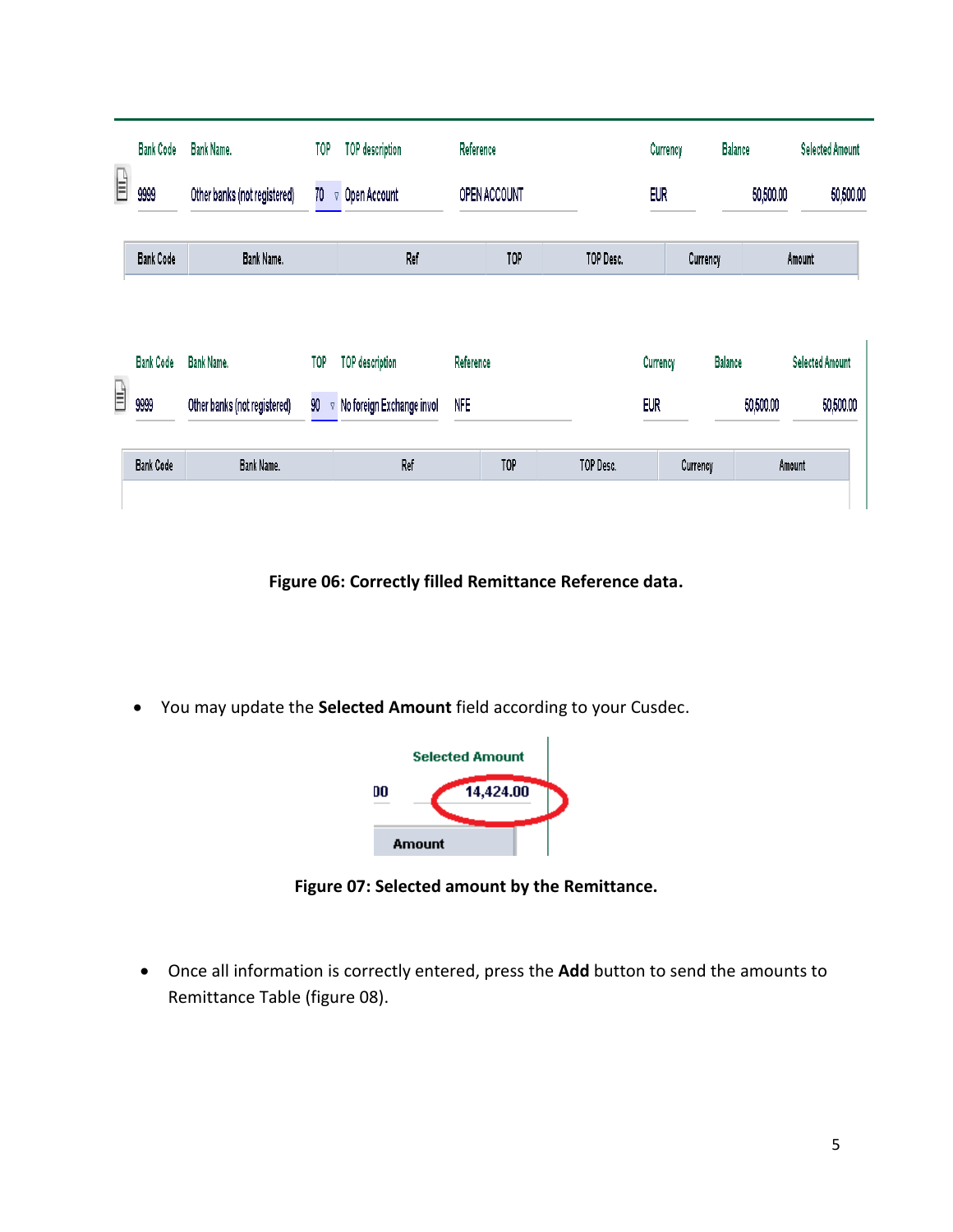|    | <b>Bank Code</b> | Bank Name.                   | TOP            | <b>TOP description</b>    | Reference    |     |           |            | Currency   | <b>Balance</b> | <b>Selected Amount</b> |
|----|------------------|------------------------------|----------------|---------------------------|--------------|-----|-----------|------------|------------|----------------|------------------------|
| Ê  | 9999             | Other banks (not registered) | 70             | Open Account<br>$\nabla$  | OPEN ACCOUNT |     |           |            | <b>EUR</b> |                | 50,500.00              |
|    | <b>Bank Code</b> | Bank Name.                   |                | Ref                       |              | TOP |           | TOP Desc.  | Currency   |                | Amount                 |
|    | <b>Bank Code</b> | <b>Bank Name.</b>            | <b>TOP</b>     | <b>TOP</b> description    | Reference    |     |           |            | Currency   | <b>Balance</b> | <b>Selected Amount</b> |
| ĒΡ | 9999             | Other banks (not registered) | 90<br>$\nabla$ | No foreign Exchange invol | <b>NFE</b>   |     |           | <b>EUR</b> |            | 50,500.00      | 50,500.00              |
|    | <b>Bank Code</b> | Bank Name.                   |                | Ref                       |              | TOP | TOP Desc. |            | Currency   |                | Amount                 |

**Figure 06: Correctly filled Remittance Reference data.**

You may update the **Selected Amount** field according to your Cusdec.



**Figure 07: Selected amount by the Remittance.**

 Once all information is correctly entered, press the **Add** button to send the amounts to Remittance Table (figure 08).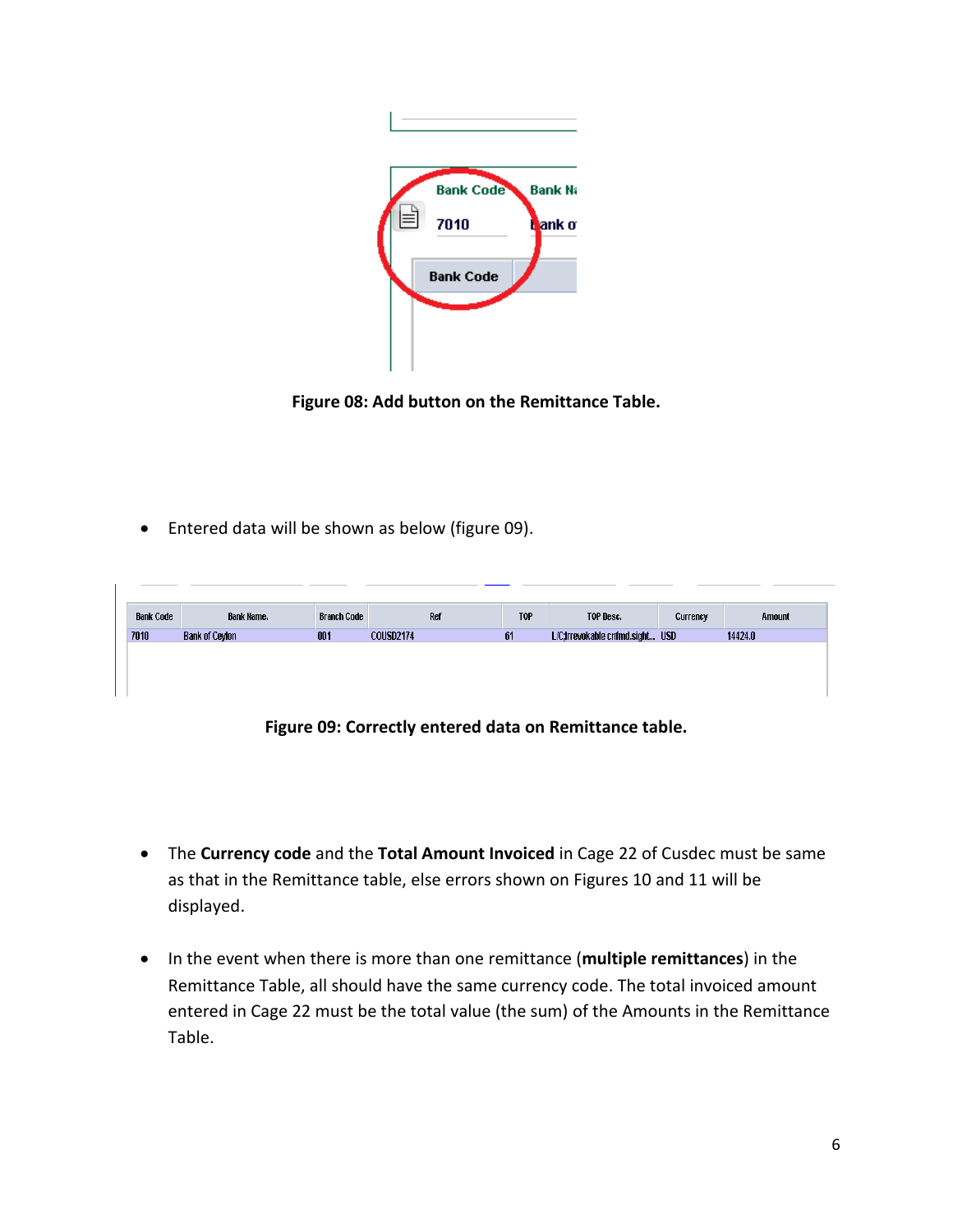

**Figure 08: Add button on the Remittance Table.**

Entered data will be shown as below (figure 09).

| <b>Bank Code</b> | Bank Name.     | <b>Branch Code</b> | Ref              | <b>TOP</b> | TOP Desc.                       | Currency | Amount  |
|------------------|----------------|--------------------|------------------|------------|---------------------------------|----------|---------|
| 7010             | Bank of Ceylon | 001                | <b>COUSD2174</b> | 61         | L/C;Irrevokable cnfmd.sight USD |          | 14424.0 |
|                  |                |                    |                  |            |                                 |          |         |
|                  |                |                    |                  |            |                                 |          |         |
|                  |                |                    |                  |            |                                 |          |         |
|                  |                |                    |                  |            |                                 |          |         |

**Figure 09: Correctly entered data on Remittance table.**

- The **Currency code** and the **Total Amount Invoiced** in Cage 22 of Cusdec must be same as that in the Remittance table, else errors shown on Figures 10 and 11 will be displayed.
- In the event when there is more than one remittance (**multiple remittances**) in the Remittance Table, all should have the same currency code. The total invoiced amount entered in Cage 22 must be the total value (the sum) of the Amounts in the Remittance Table.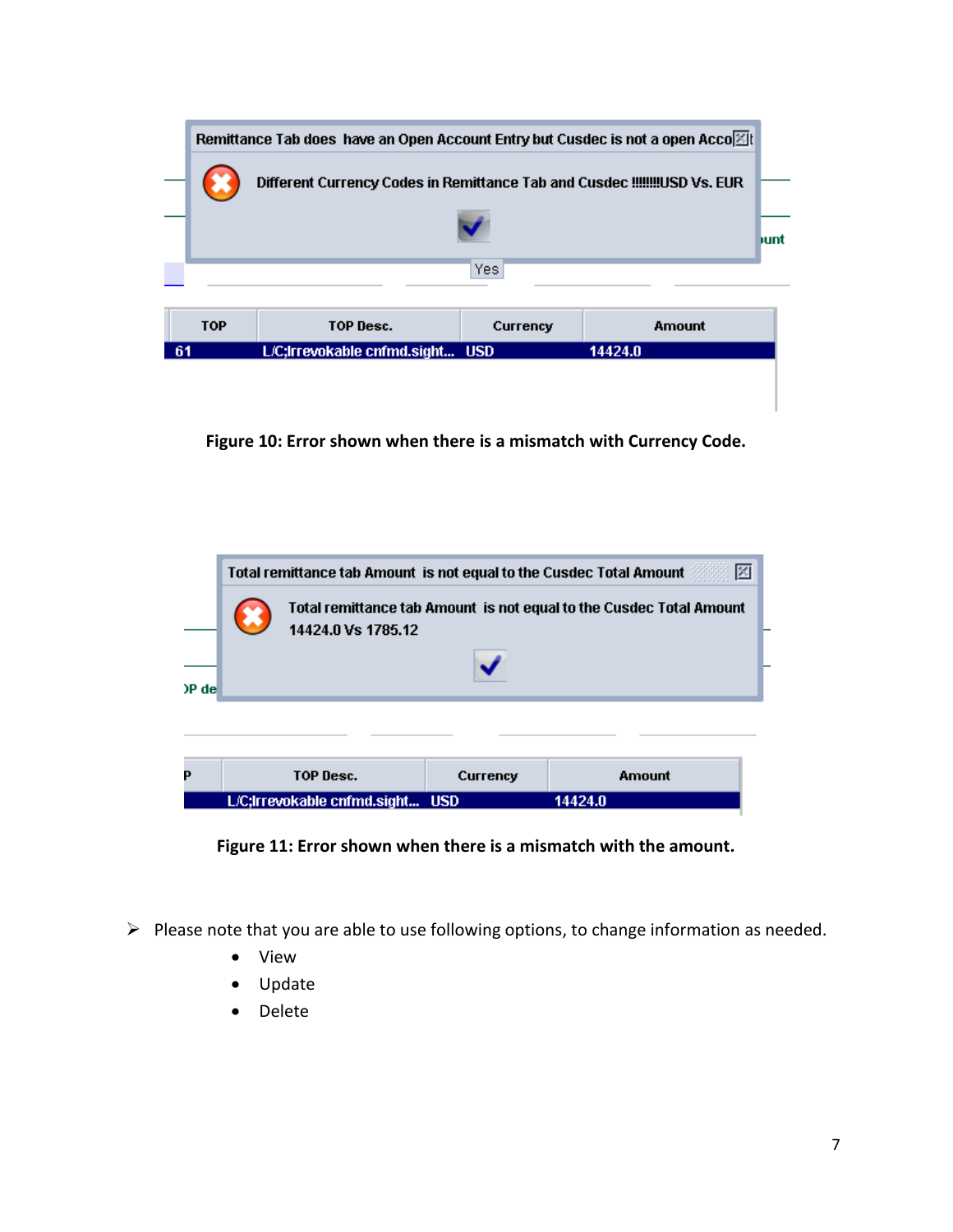|     |                                            | Remittance Tab does have an Open Account Entry but Cusdec is not a open Acco [2]<br>Different Currency Codes in Remittance Tab and Cusdec !!!!!!!!USD Vs. EUR |          |        |  |  |  |  |  |  |  |
|-----|--------------------------------------------|---------------------------------------------------------------------------------------------------------------------------------------------------------------|----------|--------|--|--|--|--|--|--|--|
|     | hunt<br>Yes                                |                                                                                                                                                               |          |        |  |  |  |  |  |  |  |
|     | <b>TOP</b>                                 | TOP Desc.                                                                                                                                                     | Currency | Amount |  |  |  |  |  |  |  |
| -61 | L/C;Irrevokable cnfmd.sight USD<br>14424.0 |                                                                                                                                                               |          |        |  |  |  |  |  |  |  |

**Figure 10: Error shown when there is a mismatch with Currency Code.**



**Figure 11: Error shown when there is a mismatch with the amount.**

- $\triangleright$  Please note that you are able to use following options, to change information as needed.
	- View
	- Update
	- Delete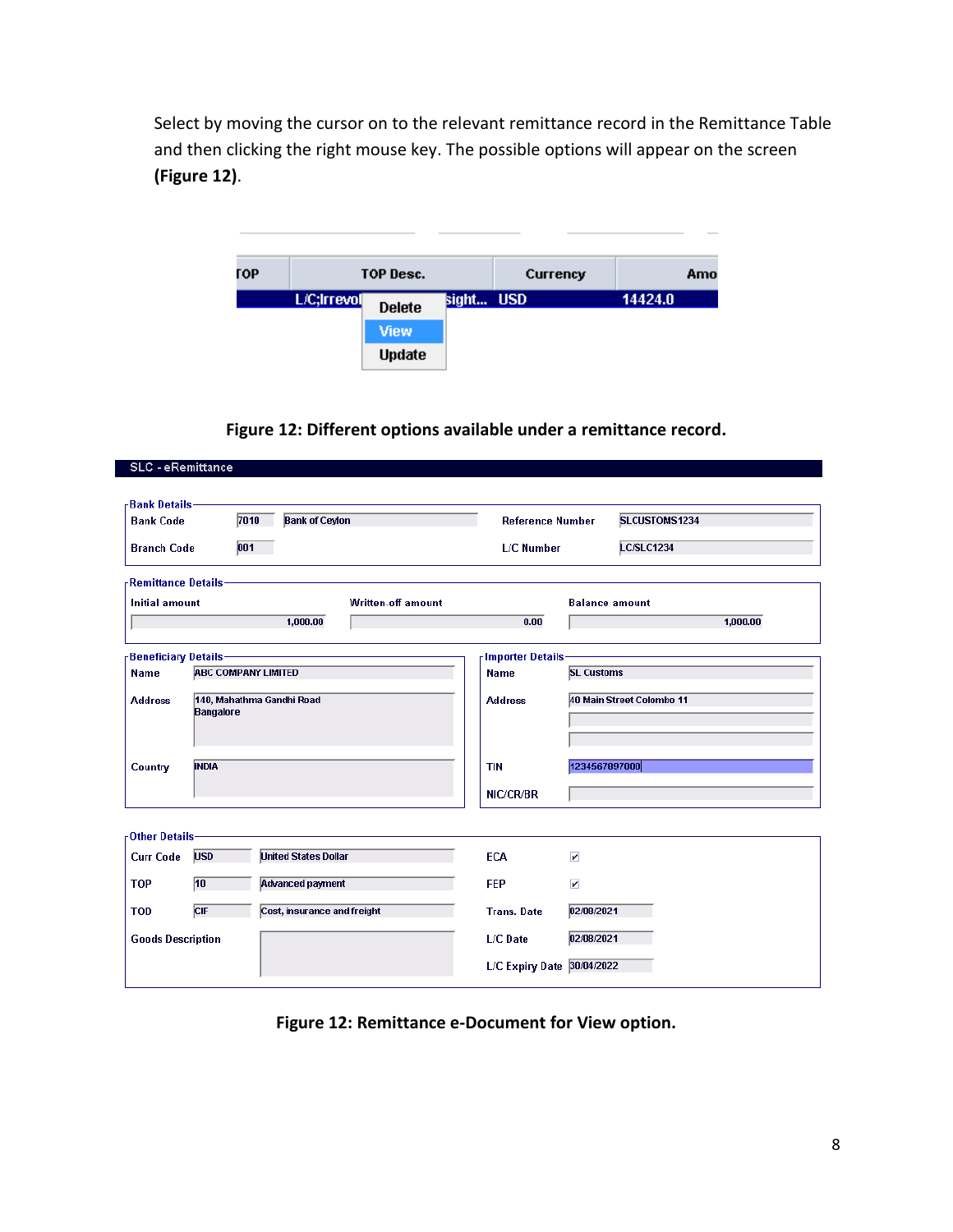Select by moving the cursor on to the relevant remittance record in the Remittance Table and then clicking the right mouse key. The possible options will appear on the screen **(Figure 12)**.

| ГОР |             | TOP Desc.     |           | Currency |         | Amo |
|-----|-------------|---------------|-----------|----------|---------|-----|
|     | L/C;Irrevol | <b>Delete</b> | sight USD |          | 14424.0 |     |
|     |             | View          |           |          |         |     |
|     |             | <b>Update</b> |           |          |         |     |

 $\sim$ 

**Figure 12: Different options available under a remittance record.**

| -Bank Details-<br><b>Bank Code</b>  |                  | 7010<br><b>Bank of Ceylon</b> | <b>Reference Number</b>    |                         | SLCUSTOMS1234             |
|-------------------------------------|------------------|-------------------------------|----------------------------|-------------------------|---------------------------|
| <b>Branch Code</b>                  |                  | 001                           | <b>L/C Number</b>          |                         | <b>LC/SLC1234</b>         |
| -Remittance Details-                |                  |                               |                            |                         |                           |
| <b>Initial amount</b>               |                  | <b>Written-off amount</b>     |                            |                         | <b>Balance amount</b>     |
|                                     |                  | 1,000.00                      | 0.00                       |                         | 1,000.00                  |
| <b>Beneficiary Details-</b>         |                  |                               | <b>Importer Details</b>    |                         |                           |
| <b>Name</b>                         |                  | <b>ABC COMPANY LIMITED</b>    | <b>Name</b>                | <b>SL Customs</b>       |                           |
| <b>Address</b>                      |                  | 140, Mahathma Gandhi Road     | <b>Address</b>             |                         | 40 Main Street Colombo 11 |
|                                     | <b>Bangalore</b> |                               |                            |                         |                           |
|                                     |                  |                               |                            |                         |                           |
| Country                             | <b>INDIA</b>     |                               | <b>TIN</b>                 | 1234567897000           |                           |
|                                     |                  |                               | NIC/CR/BR                  |                         |                           |
|                                     |                  |                               |                            |                         |                           |
| -Other Details-<br><b>Curr Code</b> | <b>USD</b>       | <b>United States Dollar</b>   | <b>ECA</b>                 | $\overline{\mathbf{v}}$ |                           |
|                                     |                  |                               |                            |                         |                           |
| <b>TOP</b>                          | 10               | <b>Advanced payment</b>       | <b>FEP</b>                 | $\overline{\mathbf{r}}$ |                           |
| <b>TOD</b>                          | CIF              | Cost, insurance and freight   | <b>Trans. Date</b>         | 02/08/2021              |                           |
| <b>Goods Description</b>            |                  |                               | L/C Date                   | 02/08/2021              |                           |
|                                     |                  |                               | L/C Expiry Date 30/04/2022 |                         |                           |

**Figure 12: Remittance e-Document for View option.**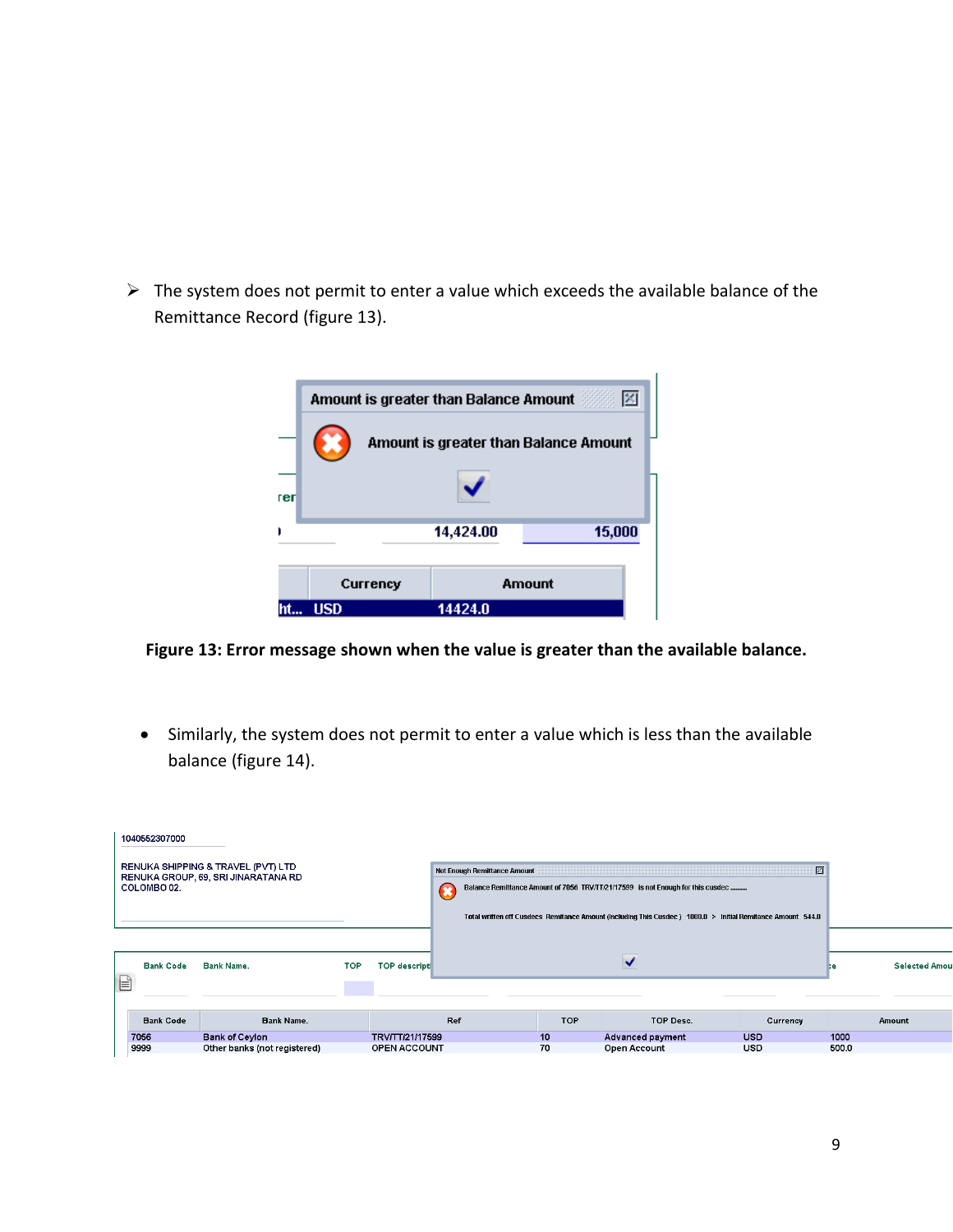$\triangleright$  The system does not permit to enter a value which exceeds the available balance of the Remittance Record (figure 13).

|      | Amount is greater than Balance Amount |           | 図                                     |
|------|---------------------------------------|-----------|---------------------------------------|
|      |                                       |           | Amount is greater than Balance Amount |
|      |                                       |           |                                       |
| reri |                                       |           |                                       |
| r    |                                       | 14,424.00 | 15,000                                |
|      | Currency                              |           | Amount                                |
| ht   | <b>USD</b>                            | 14424.0   |                                       |

#### **Figure 13: Error message shown when the value is greater than the available balance.**

 Similarly, the system does not permit to enter a value which is less than the available balance (figure 14).

|   | 1040552307000    |                                                                           |            |                      |     |                                                                                                            |      |                  |                                                                                 |            |       |                      |
|---|------------------|---------------------------------------------------------------------------|------------|----------------------|-----|------------------------------------------------------------------------------------------------------------|------|------------------|---------------------------------------------------------------------------------|------------|-------|----------------------|
|   | COLOMBO 02.      | RENUKA SHIPPING & TRAVEL (PVT) LTD<br>RENUKA GROUP, 69, SRI JINARATANA RD |            |                      |     | Not Enough Remittance Amount                                                                               |      |                  | Balance Remittance Amount of 7056 TRV/TT/21/17599 is not Enough for this cusdec | 図          |       |                      |
|   |                  |                                                                           |            |                      |     | Total written off Cusdecs Remitance Amount (Including This Cusdec) 1000.0 > Initial Remitance Amount 544.0 |      |                  |                                                                                 |            |       |                      |
|   |                  |                                                                           |            |                      |     |                                                                                                            |      |                  |                                                                                 |            |       |                      |
|   | <b>Bank Code</b> | Bank Name.                                                                | <b>TOP</b> | <b>TOP descripti</b> |     |                                                                                                            |      |                  |                                                                                 |            | Þе    | <b>Selected Amor</b> |
| e |                  |                                                                           |            |                      |     |                                                                                                            |      |                  |                                                                                 |            |       |                      |
|   | <b>Bank Code</b> | Bank Name.                                                                |            |                      | Ref |                                                                                                            | TOP. |                  | TOP Desc.                                                                       | Currency   |       | Amount               |
|   | 7056             | <b>Bank of Ceylon</b>                                                     |            | TRV/TT/21/17599      |     |                                                                                                            | 10   | Advanced payment |                                                                                 | <b>USD</b> | 1000  |                      |
|   | 9999             | Other banks (not registered)                                              |            | OPEN ACCOUNT         |     |                                                                                                            | 70   | Open Account     |                                                                                 | <b>USD</b> | 500.0 |                      |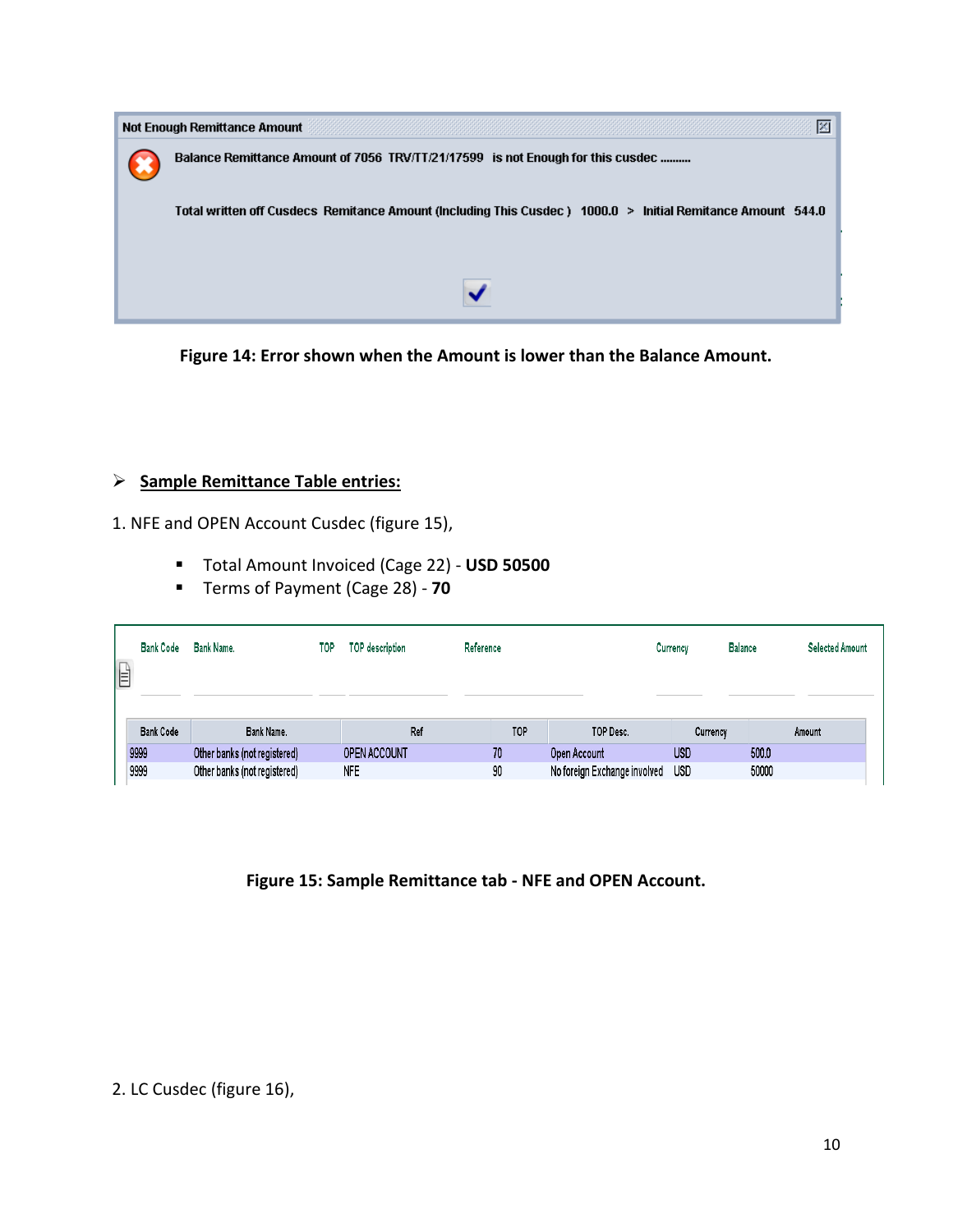

**Figure 14: Error shown when the Amount is lower than the Balance Amount.**

## **Sample Remittance Table entries:**

1. NFE and OPEN Account Cusdec (figure 15),

- Total Amount Invoiced (Cage 22) **USD 50500**
- Terms of Payment (Cage 28) **70**

| <b>Bank Code</b> | Bank Name.<br>TOP            | TOP description | Reference |                              | <b>Balance</b><br>Currency | <b>Selected Amount</b> |
|------------------|------------------------------|-----------------|-----------|------------------------------|----------------------------|------------------------|
| <b>Bank Code</b> | Bank Name.                   | Ref             | TOP       | TOP Desc.                    | Currency                   | Amount                 |
| 9999             | Other banks (not registered) | OPEN ACCOUNT    | 70        | Open Account                 | <b>USD</b>                 | 500.0                  |
| 9999             | Other banks (not registered) | <b>NFE</b>      | 90        | No foreign Exchange involved | <b>USD</b>                 | 50000                  |

**Figure 15: Sample Remittance tab - NFE and OPEN Account.**

2. LC Cusdec (figure 16),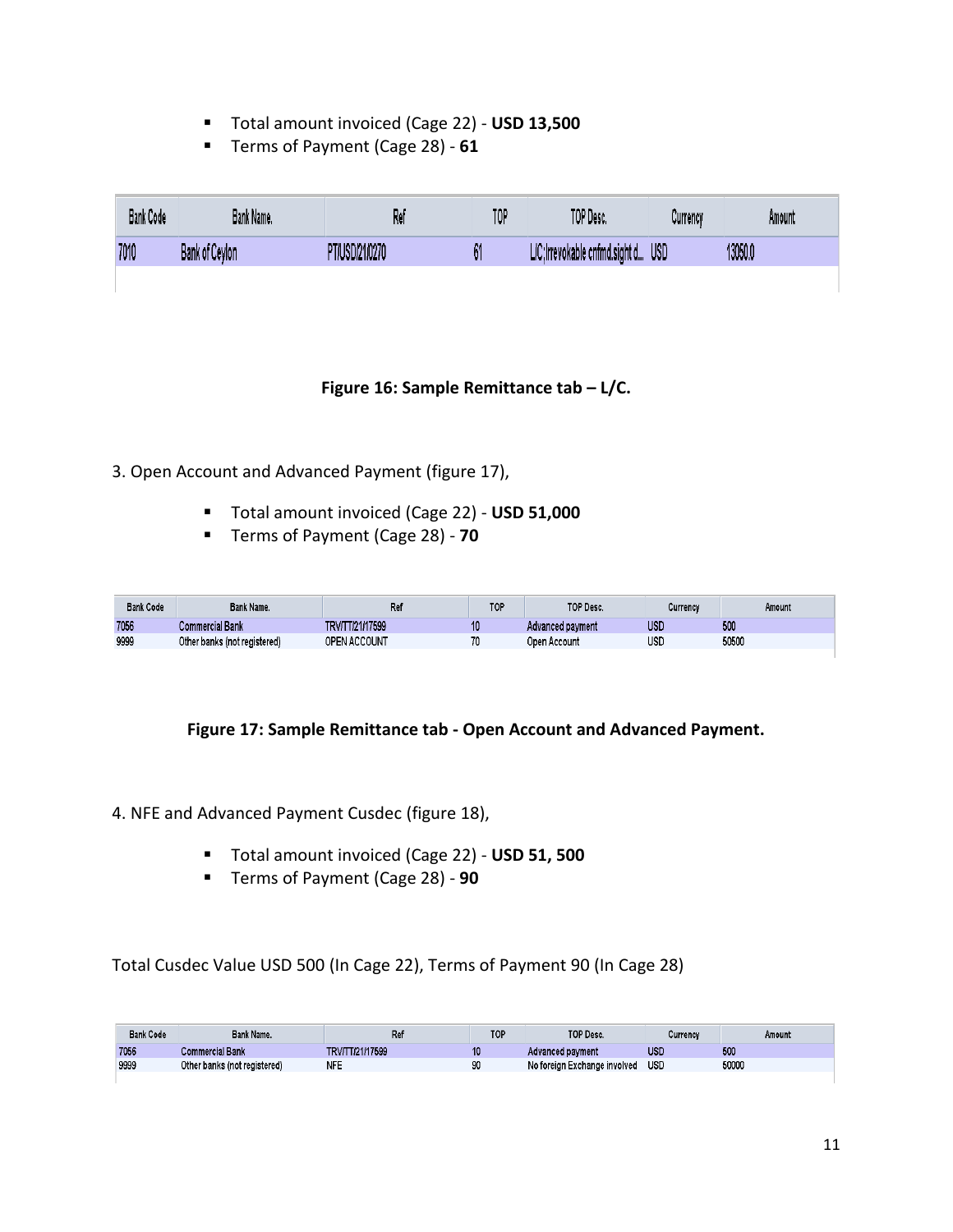- Total amount invoiced (Cage 22) **USD 13,500**
- Terms of Payment (Cage 28) **61**

| <b>Bank Code</b> | Bank Name.     | Re          | TOP | TOP Desc.                   | Currency   | Amount  |
|------------------|----------------|-------------|-----|-----------------------------|------------|---------|
| 7010             | Bank of Ceylon | USD/21/0270 | 01  | C:Irrevokable cnfmd.sight d | <b>USD</b> | 13050.0 |

#### **Figure 16: Sample Remittance tab – L/C.**

- 3. Open Account and Advanced Payment (figure 17),
	- Total amount invoiced (Cage 22) **USD 51,000**
	- Terms of Payment (Cage 28) **70**

| <b>Bank Code</b> | Bank Name.                   | Re                  | TOP | TOP Desc.        | Currency | Amount |
|------------------|------------------------------|---------------------|-----|------------------|----------|--------|
| 7056             | Commercial Bank              | TRV/TT/21/17599     |     | Advanced payment | use      | 500    |
| 9999             | Other banks (not registered) | <b>OPEN ACCOUNT</b> | 70  | Open Account     | use      | 50500  |

#### **Figure 17: Sample Remittance tab - Open Account and Advanced Payment.**

- 4. NFE and Advanced Payment Cusdec (figure 18),
	- Total amount invoiced (Cage 22) **USD 51, 500**
	- Terms of Payment (Cage 28) **90**

Total Cusdec Value USD 500 (In Cage 22), Terms of Payment 90 (In Cage 28)

| <b>Bank Code</b> | Bank Name.                   | Ref             | TOP | TOP Desc.                    | Currency   | Amount |
|------------------|------------------------------|-----------------|-----|------------------------------|------------|--------|
| 7056             | <b>Commercial Bank</b>       | TRV/TT/21/17599 | 10  | Advanced payment             | <b>USL</b> | 500    |
| 9999             | Other banks (not registered) | <b>NFE</b>      | 90  | No foreign Exchange involved | <b>USD</b> | 50000  |
|                  |                              |                 |     |                              |            |        |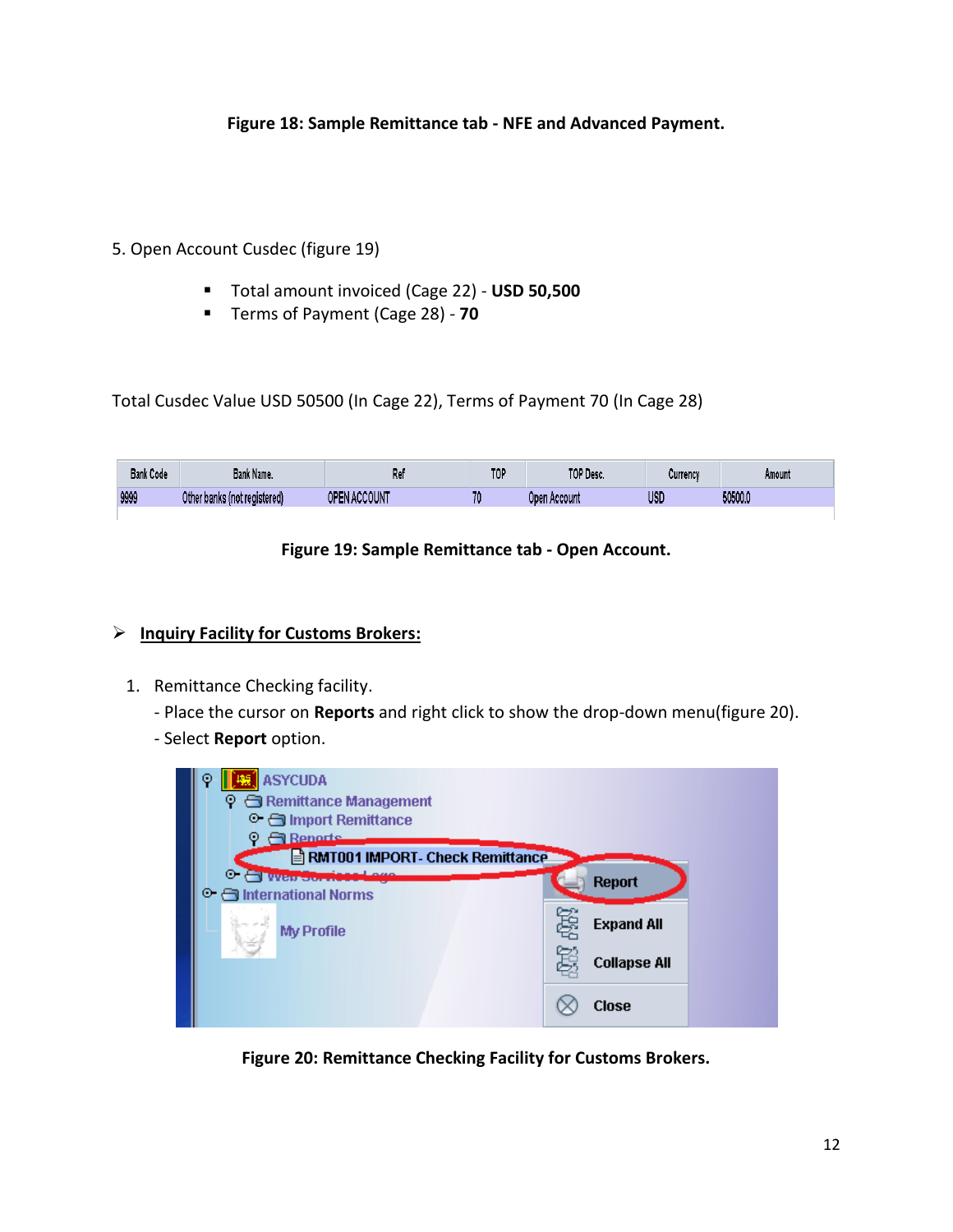### **Figure 18: Sample Remittance tab - NFE and Advanced Payment.**

### 5. Open Account Cusdec (figure 19)

- Total amount invoiced (Cage 22) **USD 50,500**
- Terms of Payment (Cage 28) **70**

Total Cusdec Value USD 50500 (In Cage 22), Terms of Payment 70 (In Cage 28)

| <b>Bank Code</b> | Bank Name.                         | יי<br>LG.              | <b>TOI</b><br>. . | TOP Desc.    | Currency | Amount  |
|------------------|------------------------------------|------------------------|-------------------|--------------|----------|---------|
| 9999             | Other<br>r banks (not registered). | \CCOUNT<br><b>OPEN</b> | 70                | Doen Account | USD      | 50500.0 |

#### **Figure 19: Sample Remittance tab - Open Account.**

#### **Inquiry Facility for Customs Brokers:**

1. Remittance Checking facility.

- Place the cursor on **Reports** and right click to show the drop-down menu(figure 20).

- Select **Report** option.



**Figure 20: Remittance Checking Facility for Customs Brokers.**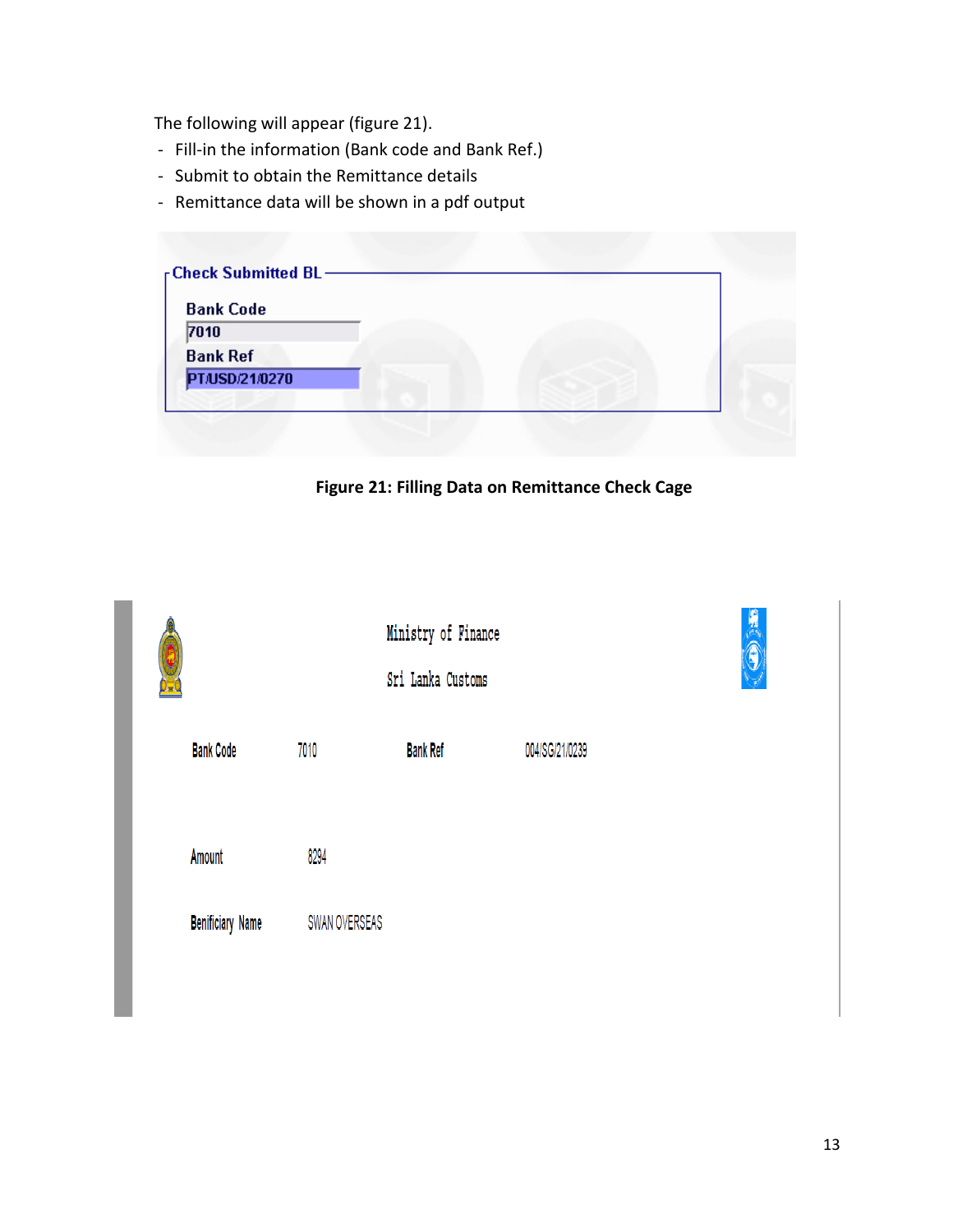The following will appear (figure 21).

- Fill-in the information (Bank code and Bank Ref.)
- Submit to obtain the Remittance details
- Remittance data will be shown in a pdf output

| <b>Bank Code</b><br>7010 |  |  |
|--------------------------|--|--|
| <b>Bank Ref</b>          |  |  |
| PT/USD/21/0270           |  |  |

**Figure 21: Filling Data on Remittance Check Cage**